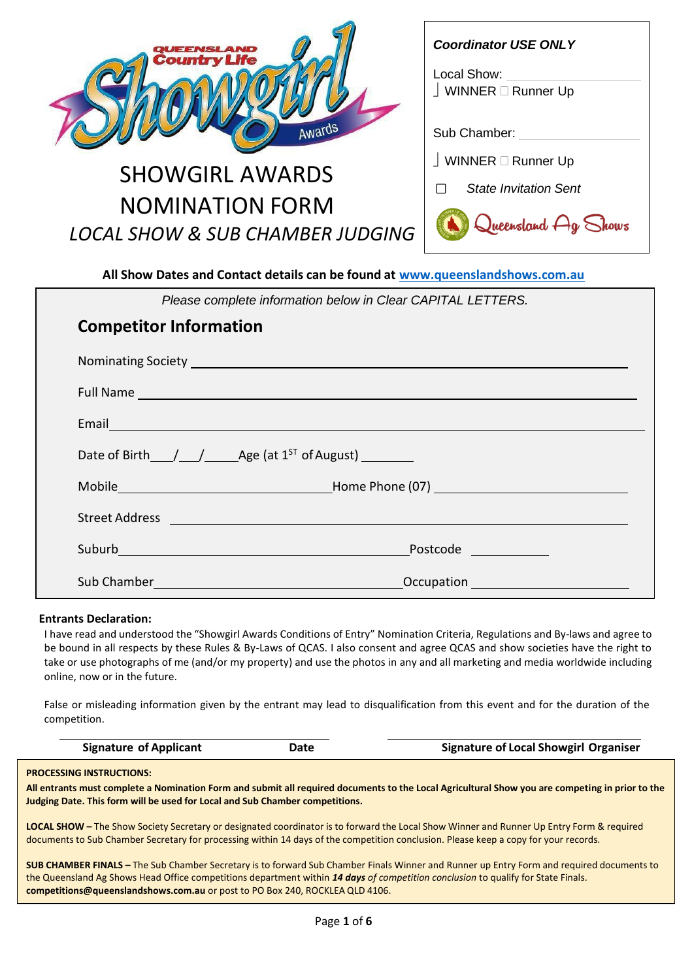| <b>NSLAND</b><br><b>Country Life</b><br>Awards                                | <b>Coordinator USE ONLY</b><br>Local Show:<br>$\perp$ WINNER $\Box$ Runner Up<br>Sub Chamber: |  |
|-------------------------------------------------------------------------------|-----------------------------------------------------------------------------------------------|--|
| <b>SHOWGIRL AWARDS</b>                                                        | $\perp$ WINNER $\Box$ Runner Up                                                               |  |
| <b>NOMINATION FORM</b>                                                        | <b>State Invitation Sent</b>                                                                  |  |
|                                                                               | Queensland Ag Shows                                                                           |  |
| <b>LOCAL SHOW &amp; SUB CHAMBER JUDGING</b>                                   |                                                                                               |  |
| All Show Dates and Contact details can be found at www.queenslandshows.com.au |                                                                                               |  |

|                               | Please complete information below in Clear CAPITAL LETTERS.                                                                                                                                                                                                                                                                                                                                                |
|-------------------------------|------------------------------------------------------------------------------------------------------------------------------------------------------------------------------------------------------------------------------------------------------------------------------------------------------------------------------------------------------------------------------------------------------------|
| <b>Competitor Information</b> |                                                                                                                                                                                                                                                                                                                                                                                                            |
|                               | Nominating Society Lawrence and Contract and Contract and Contract and Contract and Contract and Contract and                                                                                                                                                                                                                                                                                              |
|                               |                                                                                                                                                                                                                                                                                                                                                                                                            |
|                               | Email <b>Exercise Contract Contract Contract Contract Contract Contract Contract Contract Contract Contract Contract Contract Contract Contract Contract Contract Contract Contract Contract Contract Contract Contract Contract</b>                                                                                                                                                                       |
|                               | Date of Birth $\frac{1}{\sqrt{1-\frac{1}{1-\frac{1}{1-\frac{1}{1-\frac{1}{1-\frac{1}{1-\frac{1}{1-\frac{1}{1-\frac{1}{1-\frac{1}{1-\frac{1}{1-\frac{1}{1-\frac{1}{1-\frac{1}{1-\frac{1}{1-\frac{1}{1-\frac{1}{1-\frac{1}{1-\frac{1}{1-\frac{1}{1-\frac{1}{1-\frac{1}{1-\frac{1}{1-\frac{1}{1-\frac{1}{1-\frac{1}{1-\frac{1}{1-\frac{1}{1-\frac{1}{1-\frac{1}{1-\frac{1}{1-\frac{1}{1-\frac{1}{1-\frac{1}{$ |
|                               |                                                                                                                                                                                                                                                                                                                                                                                                            |
|                               | Street Address <b>Executive Contract Contract Address</b>                                                                                                                                                                                                                                                                                                                                                  |
|                               | Postcode ____________                                                                                                                                                                                                                                                                                                                                                                                      |
|                               |                                                                                                                                                                                                                                                                                                                                                                                                            |

## **Entrants Declaration:**

I have read and understood the "Showgirl Awards Conditions of Entry" Nomination Criteria, Regulations and By-laws and agree to be bound in all respects by these Rules & By-Laws of QCAS. I also consent and agree QCAS and show societies have the right to take or use photographs of me (and/or my property) and use the photos in any and all marketing and media worldwide including online, now or in the future.

False or misleading information given by the entrant may lead to disqualification from this event and for the duration of the competition.

| <b>Signature of Applicant</b><br>Date | <b>Signature of Local Showgirl Organiser</b> |
|---------------------------------------|----------------------------------------------|
|---------------------------------------|----------------------------------------------|

#### **PROCESSING INSTRUCTIONS:**

**All entrants must complete a Nomination Form and submit all required documents to the Local Agricultural Show you are competing in prior to the Judging Date. This form will be used for Local and Sub Chamber competitions.**

**LOCAL SHOW –** The Show Society Secretary or designated coordinator is to forward the Local Show Winner and Runner Up Entry Form & required documents to Sub Chamber Secretary for processing within 14 days of the competition conclusion. Please keep a copy for your records.

**SUB CHAMBER FINALS –** The Sub Chamber Secretary is to forward Sub Chamber Finals Winner and Runner up Entry Form and required documents to the Queensland Ag Shows Head Office competitions department within *14 days of competition conclusion* to qualify for State Finals. **[competitions@queenslandshows.com.au](mailto:competitions@queenslandshows.com.au)** or post to PO Box 240, ROCKLEA QLD 4106.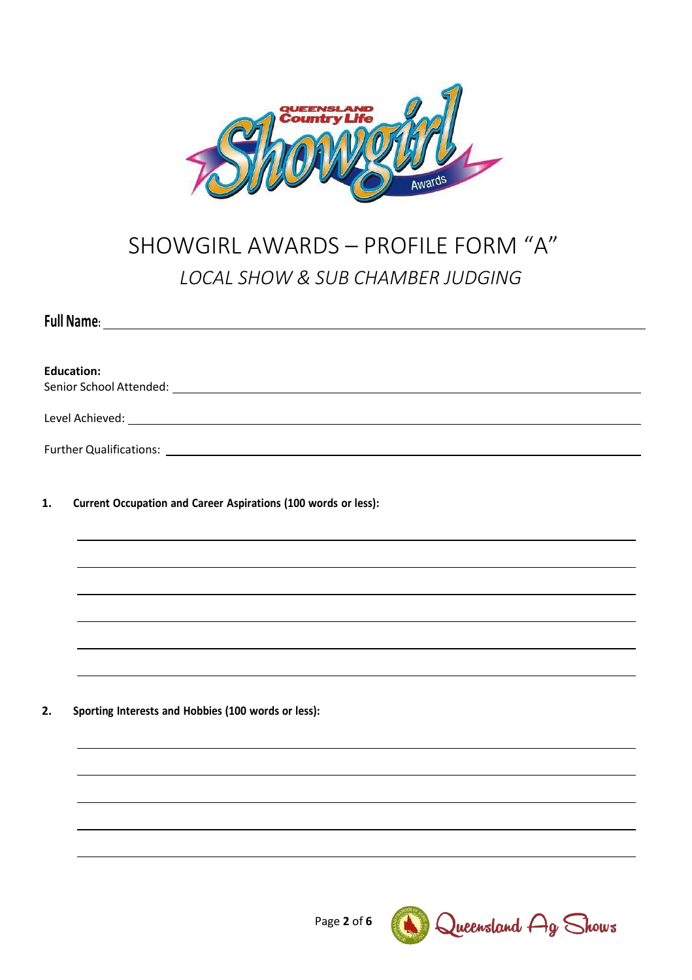

# SHOWGIRL AWARDS – PROFILE FORM "A" *LOCAL SHOW & SUB CHAMBER JUDGING*

|    | Full Name:                                                     |
|----|----------------------------------------------------------------|
|    |                                                                |
|    | <b>Education:</b>                                              |
|    |                                                                |
|    |                                                                |
|    |                                                                |
|    |                                                                |
| 1. | Current Occupation and Career Aspirations (100 words or less): |
|    |                                                                |
|    |                                                                |
|    |                                                                |
|    |                                                                |
|    |                                                                |
|    |                                                                |
|    |                                                                |
| 2. | Sporting Interests and Hobbies (100 words or less):            |
|    |                                                                |
|    |                                                                |
|    |                                                                |
|    |                                                                |
|    |                                                                |
|    |                                                                |

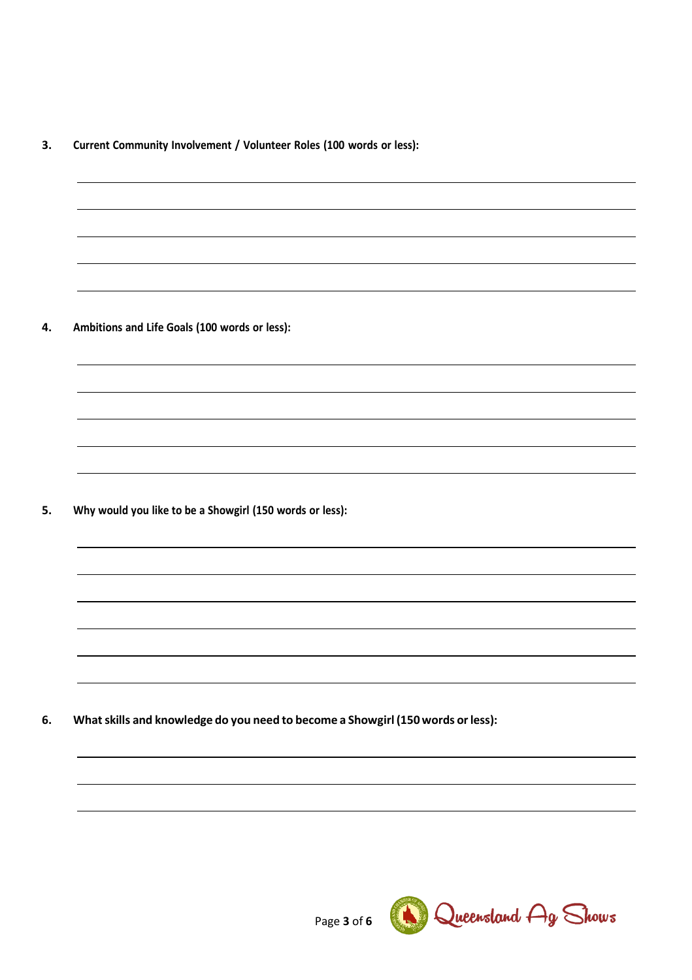**3. Current Community Involvement / Volunteer Roles (100 words or less):**

**4. Ambitions and Life Goals (100 words or less):**

**5. Why would you like to be a Showgirl (150 words or less):**

**6. Whatskills and knowledge do you need to become a Showgirl (150words orless):**

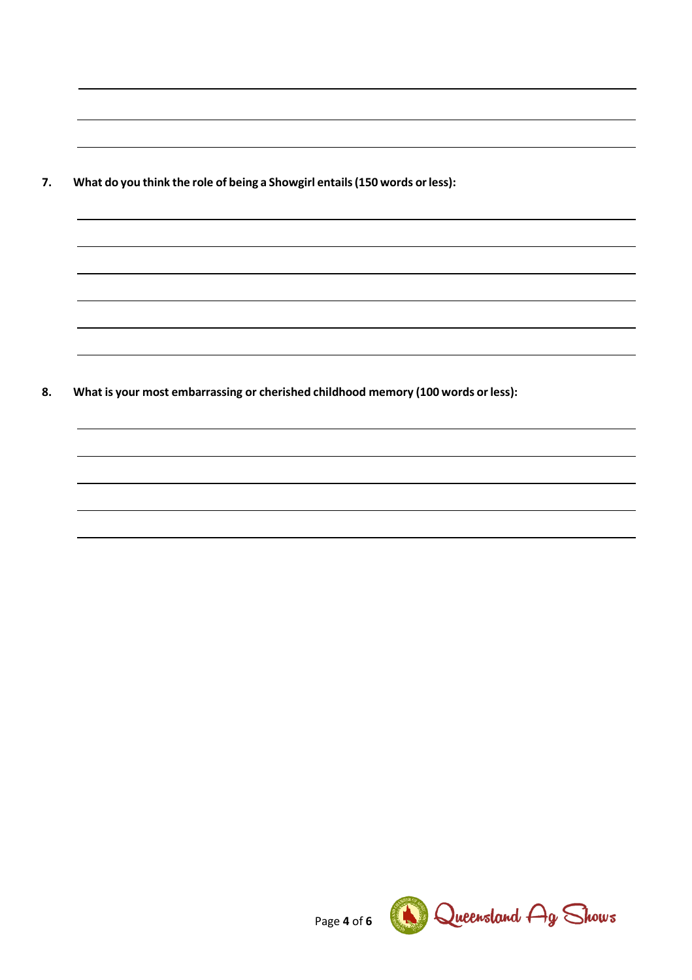**7. What do you think the role of being a Showgirl entails(150 words orless):**

**8. What is your most embarrassing or cherished childhood memory (100 words or less):**

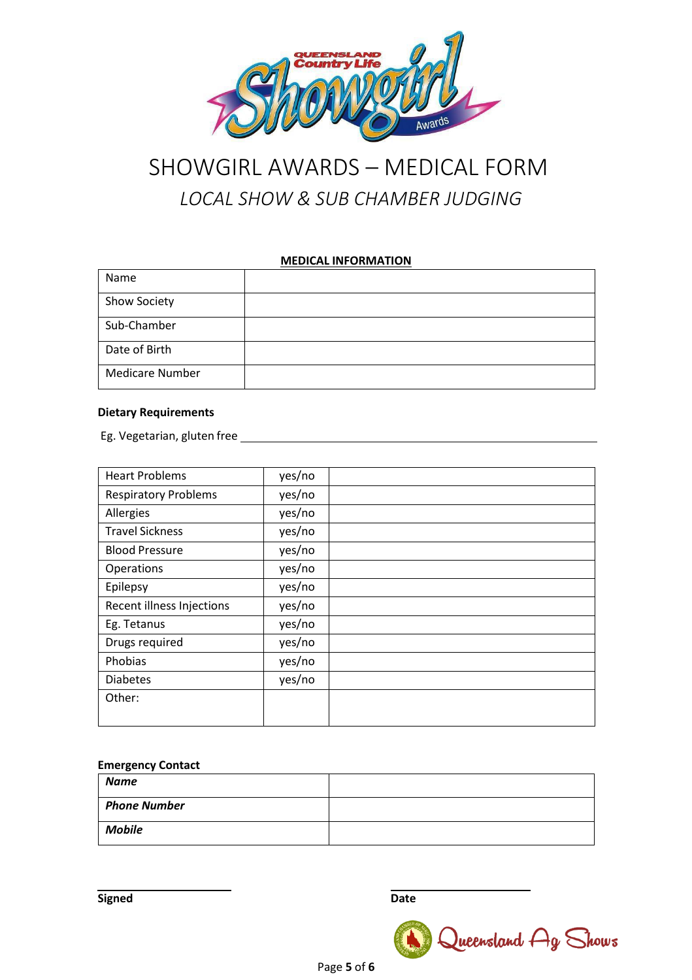

# SHOWGIRL AWARDS – MEDICAL FORM *LOCAL SHOW & SUB CHAMBER JUDGING*

## **MEDICAL INFORMATION**

| Name                   |  |
|------------------------|--|
| Show Society           |  |
| Sub-Chamber            |  |
| Date of Birth          |  |
| <b>Medicare Number</b> |  |

## **Dietary Requirements**

Eg. Vegetarian, gluten free

| <b>Heart Problems</b>            | yes/no |  |
|----------------------------------|--------|--|
| <b>Respiratory Problems</b>      | yes/no |  |
| Allergies                        | yes/no |  |
| <b>Travel Sickness</b>           | yes/no |  |
| <b>Blood Pressure</b>            | yes/no |  |
| Operations                       | yes/no |  |
| Epilepsy                         | yes/no |  |
| <b>Recent illness Injections</b> | yes/no |  |
| Eg. Tetanus                      | yes/no |  |
| Drugs required                   | yes/no |  |
| Phobias                          | yes/no |  |
| <b>Diabetes</b>                  | yes/no |  |
| Other:                           |        |  |
|                                  |        |  |

### **Emergency Contact**

| <b>Name</b>         |  |
|---------------------|--|
| <b>Phone Number</b> |  |
| <b>Mobile</b>       |  |